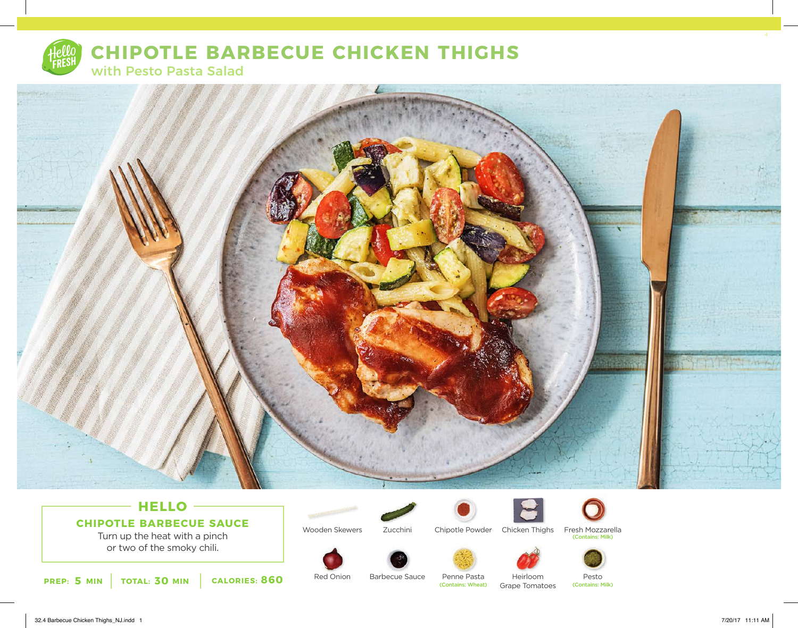

# **CHIPOTLE BARBECUE CHICKEN THIGHS**

with Pesto Pasta Salad



# **HELLO CHIPOTLE BARBECUE SAUCE**

Turn up the heat with a pinch or two of the smoky chili.





Chipotle Powder Chicken Thighs











Red Onion

Barbecue Sauce

Penne Pasta<br>(Contains: Wheat)

Pesto<br>(Contains: Milk)

Heirloom Grape Tomatoes